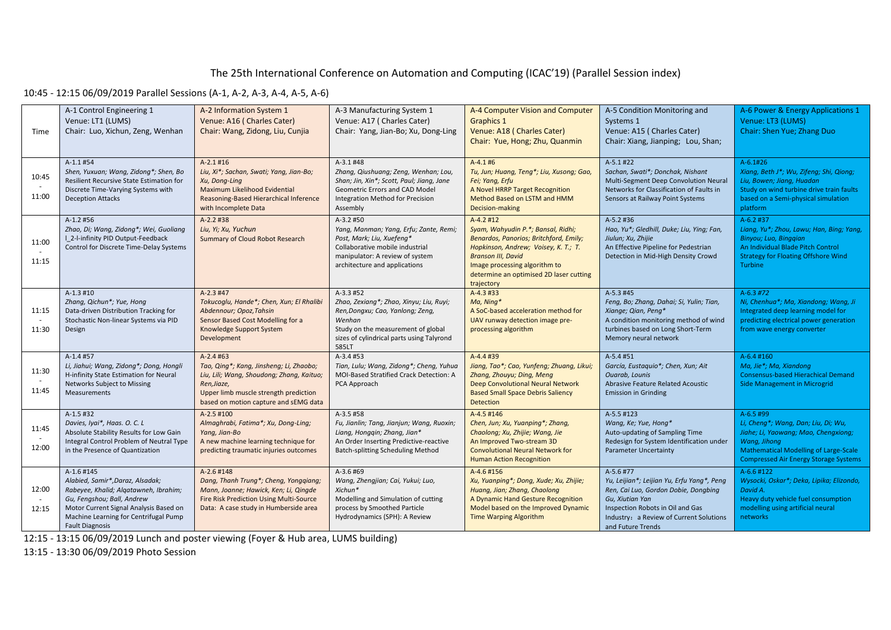## The 25th International Conference on Automation and Computing (ICAC'19) (Parallel Session index)

#### 10:45 - 12:15 06/09/2019 Parallel Sessions (A-1, A-2, A-3, A-4, A-5, A-6)

| Time           | A-1 Control Engineering 1<br>Venue: LT1 (LUMS)<br>Chair: Luo, Xichun, Zeng, Wenhan                                                                                                                                                 | A-2 Information System 1<br>Venue: A16 (Charles Cater)<br>Chair: Wang, Zidong, Liu, Cunjia                                                                                                         | A-3 Manufacturing System 1<br>Venue: A17 (Charles Cater)<br>Chair: Yang, Jian-Bo; Xu, Dong-Ling                                                                                                  | A-4 Computer Vision and Computer<br><b>Graphics 1</b><br>Venue: A18 (Charles Cater)<br>Chair: Yue, Hong; Zhu, Quanmin                                                                                                                                       | A-5 Condition Monitoring and<br>Systems 1<br>Venue: A15 (Charles Cater)<br>Chair: Xiang, Jianping; Lou, Shan;                                                                                                          | A-6 Power & Energy Applications 1<br>Venue: LT3 (LUMS)<br>Chair: Shen Yue; Zhang Duo                                                                                                                     |
|----------------|------------------------------------------------------------------------------------------------------------------------------------------------------------------------------------------------------------------------------------|----------------------------------------------------------------------------------------------------------------------------------------------------------------------------------------------------|--------------------------------------------------------------------------------------------------------------------------------------------------------------------------------------------------|-------------------------------------------------------------------------------------------------------------------------------------------------------------------------------------------------------------------------------------------------------------|------------------------------------------------------------------------------------------------------------------------------------------------------------------------------------------------------------------------|----------------------------------------------------------------------------------------------------------------------------------------------------------------------------------------------------------|
| 10:45<br>11:00 | A-1.1 #54<br>Shen, Yuxuan; Wang, Zidong*; Shen, Bo<br>Resilient Recursive State Estimation for<br>Discrete Time-Varying Systems with<br><b>Deception Attacks</b>                                                                   | $A-2.1$ #16<br>Liu, Xi*; Sachan, Swati; Yang, Jian-Bo;<br>Xu, Dong-Ling<br>Maximum Likelihood Evidential<br>Reasoning-Based Hierarchical Inference<br>with Incomplete Data                         | $A-3.1$ #48<br>Zhang, Qiushuang; Zeng, Wenhan; Lou,<br>Shan; Jin, Xin*; Scott, Paul; Jiang, Jane<br>Geometric Errors and CAD Model<br>Integration Method for Precision<br>Assembly               | $A-4.1#6$<br>Tu, Jun; Huang, Teng*; Liu, Xusong; Gao,<br>Fei; Yang, Erfu<br>A Novel HRRP Target Recognition<br>Method Based on LSTM and HMM<br>Decision-making                                                                                              | A-5.1 #22<br>Sachan, Swati*; Donchak, Nishant<br>Multi-Segment Deep Convolution Neural<br>Networks for Classification of Faults in<br>Sensors at Railway Point Systems                                                 | $A-6.1#26$<br>Xiang, Beth J*; Wu, Zifeng; Shi, Qiong;<br>Liu, Bowen; Jiang, Huadan<br>Study on wind turbine drive train faults<br>based on a Semi-physical simulation<br>platform                        |
| 11:00<br>11:15 | $A-1.2$ #56<br>Zhao, Di; Wang, Zidong*; Wei, Guoliang<br>  2-l-infinity PID Output-Feedback<br>Control for Discrete Time-Delay Systems                                                                                             | $A-2.2$ #38<br>Liu, Yi; Xu, Yuchun<br>Summary of Cloud Robot Research                                                                                                                              | $A-3.2$ #50<br>Yang, Manman; Yang, Erfu; Zante, Remi;<br>Post, Mark; Liu, Xuefeng*<br>Collaborative mobile industrial<br>manipulator: A review of system<br>architecture and applications        | $A-4.2 \#12$<br>Syam, Wahyudin P.*; Bansal, Ridhi;<br>Benardos, Panorios; Britchford, Emily;<br>Hopkinson, Andrew; Voisey, K. T.; T.<br><b>Branson III, David</b><br>Image processing algorithm to<br>determine an optimised 2D laser cutting<br>trajectory | $A-5.2$ #36<br>Hao, Yu*; Gledhill, Duke; Liu, Ying; Fan,<br>Jiulun; Xu, Zhijie<br>An Effective Pipeline for Pedestrian<br>Detection in Mid-High Density Crowd                                                          | A-6.2 #37<br>Liang, Yu*; Zhou, Lawu; Han, Bing; Yang,<br>Binyou; Luo, Binggian<br>An Individual Blade Pitch Control<br><b>Strategy for Floating Offshore Wind</b><br>Turbine                             |
| 11:15<br>11:30 | $A-1.3$ #10<br>Zhang, Qichun*; Yue, Hong<br>Data-driven Distribution Tracking for<br>Stochastic Non-linear Systems via PID<br>Design                                                                                               | $A-2.3$ #47<br>Tokucoglu, Hande*; Chen, Xun; El Rhalibi<br>Abdennour; Opoz, Tahsin<br>Sensor Based Cost Modelling for a<br>Knowledge Support System<br>Development                                 | $A-3.3$ #52<br>Zhao, Zexiang*; Zhao, Xinyu; Liu, Ruyi;<br>Ren, Dongxu; Cao, Yanlong; Zeng,<br>Wenhan<br>Study on the measurement of global<br>sizes of cylindrical parts using Talyrond<br>585LT | $A-4.3 \#33$<br>Ma, Ning*<br>A SoC-based acceleration method for<br>UAV runway detection image pre-<br>processing algorithm                                                                                                                                 | $A-5.3$ #45<br>Feng, Bo; Zhang, Dahai; Si, Yulin; Tian,<br>Xiange; Qian, Peng*<br>A condition monitoring method of wind<br>turbines based on Long Short-Term<br>Memory neural network                                  | $A-6.3$ #72<br>Ni, Chenhua*; Ma, Xiandong; Wang, Ji<br>Integrated deep learning model for<br>predicting electrical power generation<br>from wave energy converter                                        |
| 11:30<br>11:45 | A-1.4 #57<br>Li, Jiahui; Wang, Zidong*; Dong, Hongli<br>H-infinity State Estimation for Neural<br>Networks Subject to Missing<br>Measurements                                                                                      | A-2.4 #63<br>Tao, Qing*; Kang, Jinsheng; Li, Zhaobo;<br>Liu, Lili; Wang, Shoudong; Zhang, Kaituo;<br>Ren, Jiaze,<br>Upper limb muscle strength prediction<br>based on motion capture and sEMG data | A-3.4 #53<br>Tian, Lulu; Wang, Zidong*; Cheng, Yuhua<br>MOI-Based Stratified Crack Detection: A<br>PCA Approach                                                                                  | A-4.4 #39<br>Jiang, Tao*; Cao, Yunfeng; Zhuang, Likui;<br>Zhang, Zhouyu; Ding, Meng<br>Deep Convolutional Neural Network<br><b>Based Small Space Debris Saliency</b><br><b>Detection</b>                                                                    | A-5.4 #51<br>García, Eustaquio*; Chen, Xun; Ait<br>Ouarab, Lounis<br>Abrasive Feature Related Acoustic<br><b>Emission in Grinding</b>                                                                                  | A-6.4 #160<br>Ma, Jie*; Ma, Xiandong<br><b>Consensus-based Hierachical Demand</b><br>Side Management in Microgrid                                                                                        |
| 11:45<br>12:00 | $A-1.5$ #32<br>Davies, Iyai*, Haas. O. C. L.<br>Absolute Stability Results for Low Gain<br>Integral Control Problem of Neutral Type<br>in the Presence of Quantization                                                             | $A-2.5$ #100<br>Almaghrabi, Fatima*; Xu, Dong-Ling;<br>Yang, Jian-Bo<br>A new machine learning technique for<br>predicting traumatic injuries outcomes                                             | A-3.5 #58<br>Fu, Jianlin; Tang, Jianjun; Wang, Ruoxin;<br>Liang, Honggin; Zhang, Jian*<br>An Order Inserting Predictive-reactive<br><b>Batch-splitting Scheduling Method</b>                     | A-4.5 #146<br>Chen, Jun; Xu, Yuanping*; Zhang,<br>Chaolong; Xu, Zhijie; Wang, Jie<br>An Improved Two-stream 3D<br><b>Convolutional Neural Network for</b><br><b>Human Action Recognition</b>                                                                | A-5.5 #123<br>Wang, Ke; Yue, Hong*<br>Auto-updating of Sampling Time<br>Redesign for System Identification under<br><b>Parameter Uncertainty</b>                                                                       | A-6.5 #99<br>Li, Cheng*; Wang, Dan; Liu, Di; Wu,<br>Jiahe; Li, Yaowang; Mao, Chengxiong;<br>Wang, Jihong<br><b>Mathematical Modelling of Large-Scale</b><br><b>Compressed Air Energy Storage Systems</b> |
| 12:00<br>12:15 | A-1.6 #145<br>Alabied, Samir*, Daraz, Alsadak;<br>Rabeyee, Khalid; Algatawneh, Ibrahim;<br>Gu, Fengshou; Ball, Andrew<br>Motor Current Signal Analysis Based on<br>Machine Learning for Centrifugal Pump<br><b>Fault Diagnosis</b> | $A-2.6$ #148<br>Dang, Thanh Trung*; Cheng, Yongqiang;<br>Mann, Joanne; Hawick, Ken; Li, Qingde<br>Fire Risk Prediction Using Multi-Source<br>Data: A case study in Humberside area                 | A-3.6 #69<br>Wang, Zhengjian; Cai, Yukui; Luo,<br>Xichun*<br>Modelling and Simulation of cutting<br>process by Smoothed Particle<br>Hydrodynamics (SPH): A Review                                | A-4.6 #156<br>Xu, Yuanping*; Dong, Xude; Xu, Zhijie;<br>Huang, Jian; Zhang, Chaolong<br>A Dynamic Hand Gesture Recognition<br>Model based on the Improved Dynamic<br><b>Time Warping Algorithm</b>                                                          | A-5.6 #77<br>Yu, Leijian*; Leijian Yu, Erfu Yang*, Peng<br>Ren, Cai Luo, Gordon Dobie, Dongbing<br>Gu, Xiutian Yan<br>Inspection Robots in Oil and Gas<br>Industry: a Review of Current Solutions<br>and Future Trends | A-6.6 #122<br>Wysocki, Oskar*; Deka, Lipika; Elizondo,<br>David A.<br>Heavy duty vehicle fuel consumption<br>modelling using artificial neural<br>networks                                               |

12:15 - 13:15 06/09/2019 Lunch and poster viewing (Foyer & Hub area, LUMS building)

13:15 - 13:30 06/09/2019 Photo Session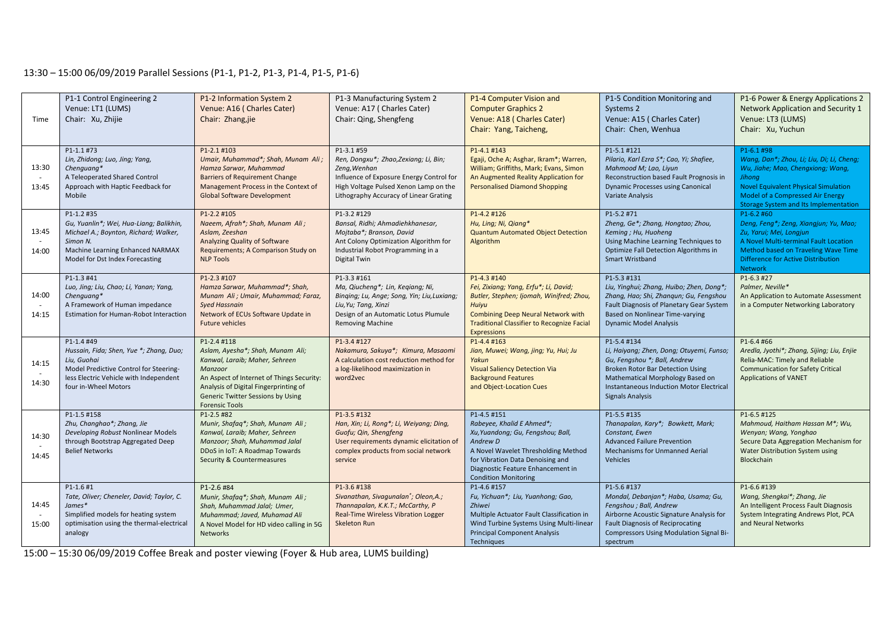## 13:30 – 15:00 06/09/2019 Parallel Sessions (P1-1, P1-2, P1-3, P1-4, P1-5, P1-6)

| Time           | P1-1 Control Engineering 2<br>Venue: LT1 (LUMS)<br>Chair: Xu, Zhijie                                                                                                              | P1-2 Information System 2<br>Venue: A16 (Charles Cater)<br>Chair: Zhang, jie                                                                                                                                                                            | P1-3 Manufacturing System 2<br>Venue: A17 (Charles Cater)<br>Chair: Qing, Shengfeng                                                                                                                | P1-4 Computer Vision and<br><b>Computer Graphics 2</b><br>Venue: A18 (Charles Cater)<br>Chair: Yang, Taicheng,                                                                                                                           | P1-5 Condition Monitoring and<br>Systems 2<br>Venue: A15 (Charles Cater)<br>Chair: Chen, Wenhua                                                                                                                                        | P1-6 Power & Energy Applications 2<br>Network Application and Security 1<br>Venue: LT3 (LUMS)<br>Chair: Xu, Yuchun                                                                                                                 |
|----------------|-----------------------------------------------------------------------------------------------------------------------------------------------------------------------------------|---------------------------------------------------------------------------------------------------------------------------------------------------------------------------------------------------------------------------------------------------------|----------------------------------------------------------------------------------------------------------------------------------------------------------------------------------------------------|------------------------------------------------------------------------------------------------------------------------------------------------------------------------------------------------------------------------------------------|----------------------------------------------------------------------------------------------------------------------------------------------------------------------------------------------------------------------------------------|------------------------------------------------------------------------------------------------------------------------------------------------------------------------------------------------------------------------------------|
| 13:30<br>13:45 | P1-1.1 #73<br>Lin, Zhidong; Luo, Jing; Yang,<br>Chenguang*<br>A Teleoperated Shared Control<br>Approach with Haptic Feedback for<br>Mobile                                        | P1-2.1 #103<br>Umair, Muhammad*; Shah, Munam Ali;<br>Hamza Sarwar, Muhammad<br><b>Barriers of Requirement Change</b><br>Management Process in the Context of<br><b>Global Software Development</b>                                                      | P1-3.1 #59<br>Ren, Dongxu*; Zhao, Zexiang; Li, Bin;<br>Zeng, Wenhan<br>Influence of Exposure Energy Control for<br>High Voltage Pulsed Xenon Lamp on the<br>Lithography Accuracy of Linear Grating | P1-4.1 #143<br>Egaji, Oche A; Asghar, Ikram*; Warren,<br>William; Griffiths, Mark; Evans, Simon<br>An Augmented Reality Application for<br><b>Personalised Diamond Shopping</b>                                                          | P1-5.1 #121<br>Pilario, Karl Ezra S*; Cao, Yi; Shafiee,<br>Mahmood M; Lao, Liyun<br>Reconstruction based Fault Prognosis in<br><b>Dynamic Processes using Canonical</b><br>Variate Analysis                                            | P1-6.1 #98<br>Wang, Dan*; Zhou, Li; Liu, Di; Li, Cheng;<br>Wu, Jiahe; Mao, Chengxiong; Wang,<br>Jihong<br><b>Novel Equivalent Physical Simulation</b><br>Model of a Compressed Air Energy<br>Storage System and Its Implementation |
| 13:45<br>14:00 | P1-1.2 #35<br>Gu, Yuanlin*; Wei, Hua-Liang; Balikhin,<br>Michael A.; Boynton, Richard; Walker,<br>Simon N.<br>Machine Learning Enhanced NARMAX<br>Model for Dst Index Forecasting | P1-2.2 #105<br>Naeem, Afrah*; Shah, Munam Ali;<br>Aslam, Zeeshan<br>Analyzing Quality of Software<br>Requirements; A Comparison Study on<br><b>NLP Tools</b>                                                                                            | P1-3.2 #129<br>Bansal, Ridhi; Ahmadiehkhanesar,<br>Mojtaba*; Branson, David<br>Ant Colony Optimization Algorithm for<br>Industrial Robot Programming in a<br>Digital Twin                          | P1-4.2 #126<br>Hu, Ling; Ni, Qiang*<br><b>Quantum Automated Object Detection</b><br>Algorithm                                                                                                                                            | P1-5.2 #71<br>Zheng, Ge*; Zhang, Hongtao; Zhou,<br>Keming ; Hu, Huoheng<br>Using Machine Learning Techniques to<br>Optimize Fall Detection Algorithms in<br>Smart Wristband                                                            | P1-6.2 #60<br>Deng, Feng*; Zeng, Xiangjun; Yu, Mao;<br>Zu, Yarui; Mei, Longjun<br>A Novel Multi-terminal Fault Location<br>Method based on Traveling Wave Time<br><b>Difference for Active Distribution</b><br><b>Network</b>      |
| 14:00<br>14:15 | P1-1.3 #41<br>Luo, Jing; Liu, Chao; Li, Yanan; Yang,<br>Chenguang*<br>A Framework of Human impedance<br>Estimation for Human-Robot Interaction                                    | P1-2.3 #107<br>Hamza Sarwar, Muhammad*; Shah,<br>Munam Ali ; Umair, Muhammad; Faraz,<br><b>Syed Hassnain</b><br>Network of ECUs Software Update in<br><b>Future vehicles</b>                                                                            | P1-3.3 #161<br>Ma, Qiucheng*; Lin, Kegiang; Ni,<br>Binging; Lu, Ange; Song, Yin; Liu, Luxiang;<br>Liu, Yu; Tang, Xinzi<br>Design of an Automatic Lotus Plumule<br><b>Removing Machine</b>          | P1-4.3 #140<br>Fei, Zixiang; Yang, Erfu*; Li, David;<br>Butler, Stephen; Ijomah, Winifred; Zhou,<br>Huiyu<br><b>Combining Deep Neural Network with</b><br><b>Traditional Classifier to Recognize Facial</b><br><b>Expressions</b>        | P1-5.3 #131<br>Liu, Yinghui; Zhang, Huibo; Zhen, Dong*;<br>Zhang, Hao; Shi, Zhangun; Gu, Fengshou<br>Fault Diagnosis of Planetary Gear System<br>Based on Nonlinear Time-varying<br><b>Dynamic Model Analysis</b>                      | P1-6.3 #27<br>Palmer, Neville*<br>An Application to Automate Assessment<br>in a Computer Networking Laboratory                                                                                                                     |
| 14:15<br>14:30 | P1-1.4 #49<br>Hussain, Fida; Shen, Yue *; Zhang, Duo;<br>Liu, Guohai<br>Model Predictive Control for Steering-<br>less Electric Vehicle with Independent<br>four in-Wheel Motors  | P1-2.4 #118<br>Aslam, Ayesha*; Shah, Munam Ali;<br>Kanwal, Laraib; Maher, Sehreen<br>Manzoor<br>An Aspect of Internet of Things Security:<br>Analysis of Digital Fingerprinting of<br><b>Generic Twitter Sessions by Using</b><br><b>Forensic Tools</b> | P1-3.4 #127<br>Nakamura, Sakuya*; Kimura, Masaomi<br>A calculation cost reduction method for<br>a log-likelihood maximization in<br>word2vec                                                       | P1-4.4 #163<br>Jian, Muwei; Wang, jing; Yu, Hui; Ju<br>Yakun<br><b>Visual Saliency Detection Via</b><br><b>Background Features</b><br>and Object-Location Cues                                                                           | P1-5.4 #134<br>Li, Haiyang; Zhen, Dong; Otuyemi, Funso;<br>Gu, Fengshou *; Ball, Andrew<br>Broken Rotor Bar Detection Using<br>Mathematical Morphology Based on<br>Instantaneous Induction Motor Electrical<br><b>Signals Analysis</b> | P1-6.4 #66<br>Aredla, Jyothi*; Zhang, Sijing; Liu, Enjie<br>Relia-MAC: Timely and Reliable<br><b>Communication for Safety Critical</b><br><b>Applications of VANET</b>                                                             |
| 14:30<br>14:45 | P1-1.5 #158<br>Zhu, Changhao*; Zhang, Jie<br>Developing Robust Nonlinear Models<br>through Bootstrap Aggregated Deep<br><b>Belief Networks</b>                                    | P1-2.5 #82<br>Munir, Shafaq*; Shah, Munam Ali;<br>Kanwal, Laraib; Maher, Sehreen<br>Manzoor; Shah, Muhammad Jalal<br>DDoS in IoT: A Roadmap Towards<br>Security & Countermeasures                                                                       | P1-3.5 #132<br>Han, Xin; Li, Rong*; Li, Weiyang; Ding,<br>Guofu; Qin, Shengfeng<br>User requirements dynamic elicitation of<br>complex products from social network<br>service                     | P1-4.5 #151<br>Rabeyee, Khalid E Ahmed*;<br>Xu, Yuandong; Gu, Fengshou; Ball,<br>Andrew D<br>A Novel Wavelet Thresholding Method<br>for Vibration Data Denoising and<br>Diagnostic Feature Enhancement in<br><b>Condition Monitoring</b> | P1-5.5 #135<br>Thanapalan, Kary*; Bowkett, Mark;<br>Constant, Ewen<br><b>Advanced Failure Prevention</b><br><b>Mechanisms for Unmanned Aerial</b><br>Vehicles                                                                          | P1-6.5 #125<br>Mahmoud, Haitham Hassan M*; Wu,<br>Wenyan; Wang, Yonghao<br>Secure Data Aggregation Mechanism for<br>Water Distribution System using<br><b>Blockchain</b>                                                           |
| 14:45<br>15:00 | $P1 - 1.6 #1$<br>Tate, Oliver; Cheneler, David; Taylor, C.<br>$James*$<br>Simplified models for heating system<br>optimisation using the thermal-electrical<br>analogy            | P1-2.6 #84<br>Munir, Shafaq*; Shah, Munam Ali;<br>Shah, Muhammad Jalal; Umer,<br>Muhammad; Javed, Muhamad Ali<br>A Novel Model for HD video calling in 5G<br><b>Networks</b>                                                                            | P1-3.6 #138<br>Sivanathan, Sivagunalan'; Oleon, A.;<br>Thannapalan, K.K.T.; McCarthy, P<br>Real-Time Wireless Vibration Logger<br>Skeleton Run                                                     | P1-4.6 #157<br>Fu, Yichuan*; Liu, Yuanhong; Gao,<br>Zhiwei<br>Multiple Actuator Fault Classification in<br>Wind Turbine Systems Using Multi-linear<br><b>Principal Component Analysis</b><br>Techniques                                  | P1-5.6 #137<br>Mondal, Debanjan*; Haba, Usama; Gu,<br>Fengshou ; Ball, Andrew<br>Airborne Acoustic Signature Analysis for<br><b>Fault Diagnosis of Reciprocating</b><br>Compressors Using Modulation Signal Bi-<br>spectrum            | P1-6.6 #139<br>Wang, Shengkai*; Zhang, Jie<br>An Intelligent Process Fault Diagnosis<br>System Integrating Andrews Plot, PCA<br>and Neural Networks                                                                                |

15:00 – 15:30 06/09/2019 Coffee Break and poster viewing (Foyer & Hub area, LUMS building)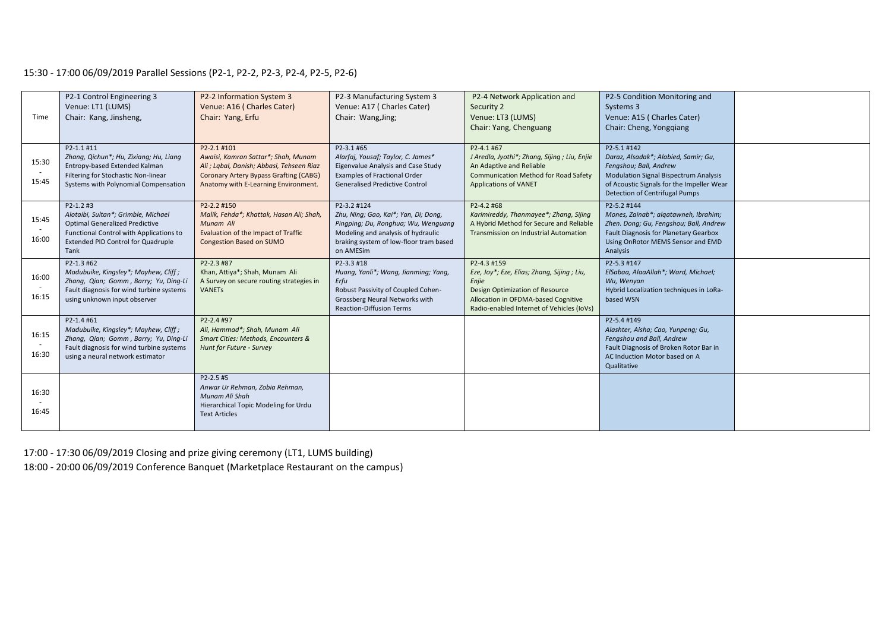# 15:30 - 17:00 06/09/2019 Parallel Sessions (P2-1, P2-2, P2-3, P2-4, P2-5, P2-6)

| Time           | P2-1 Control Engineering 3<br>Venue: LT1 (LUMS)<br>Chair: Kang, Jinsheng,                                                                                                              | P2-2 Information System 3<br>Venue: A16 (Charles Cater)<br>Chair: Yang, Erfu                                                                                                             | P2-3 Manufacturing System 3<br>Venue: A17 (Charles Cater)<br>Chair: Wang, Jing;                                                                                                         | P2-4 Network Application and<br>Security 2<br>Venue: LT3 (LUMS)<br>Chair: Yang, Chenguang                                                                                                 | P2-5 Condition Monitoring and<br>Systems 3<br>Venue: A15 (Charles Cater)<br>Chair: Cheng, Yongqiang                                                                                                                 |  |
|----------------|----------------------------------------------------------------------------------------------------------------------------------------------------------------------------------------|------------------------------------------------------------------------------------------------------------------------------------------------------------------------------------------|-----------------------------------------------------------------------------------------------------------------------------------------------------------------------------------------|-------------------------------------------------------------------------------------------------------------------------------------------------------------------------------------------|---------------------------------------------------------------------------------------------------------------------------------------------------------------------------------------------------------------------|--|
| 15:30<br>15:45 | P2-1.1 #11<br>Zhang, Qichun*; Hu, Zixiang; Hu, Liang<br>Entropy-based Extended Kalman<br>Filtering for Stochastic Non-linear<br>Systems with Polynomial Compensation                   | P2-2.1 #101<br>Awaisi, Kamran Sattar*; Shah, Munam<br>Ali ; Labal, Danish; Abbasi, Tehseen Riaz<br><b>Coronary Artery Bypass Grafting (CABG)</b><br>Anatomy with E-Learning Environment. | P2-3.1 #65<br>Alarfaj, Yousaf; Taylor, C. James*<br>Eigenvalue Analysis and Case Study<br><b>Examples of Fractional Order</b><br><b>Generalised Predictive Control</b>                  | P2-4.1 #67<br>J Aredla, Jyothi*; Zhang, Sijing; Liu, Enjie<br>An Adaptive and Reliable<br><b>Communication Method for Road Safety</b><br><b>Applications of VANET</b>                     | P2-5.1 #142<br>Daraz, Alsadak*; Alabied, Samir; Gu,<br>Fengshou; Ball, Andrew<br><b>Modulation Signal Bispectrum Analysis</b><br>of Acoustic Signals for the Impeller Wear<br><b>Detection of Centrifugal Pumps</b> |  |
| 15:45<br>16:00 | $P2 - 1.2$ #3<br>Alotaibi, Sultan*; Grimble, Michael<br><b>Optimal Generalized Predictive</b><br>Functional Control with Applications to<br>Extended PID Control for Quadruple<br>Tank | P2-2.2 #150<br>Malik, Fehda*; Khattak, Hasan Ali; Shah,<br>Munam Ali<br>Evaluation of the Impact of Traffic<br>Congestion Based on SUMO                                                  | P2-3.2 #124<br>Zhu, Ning; Gao, Kai*; Yan, Di; Dong,<br>Pingping; Du, Ronghua; Wu, Wenguang<br>Modeling and analysis of hydraulic<br>braking system of low-floor tram based<br>on AMESim | P2-4.2 #68<br>Karimireddy, Thanmayee*; Zhang, Sijing<br>A Hybrid Method for Secure and Reliable<br><b>Transmission on Industrial Automation</b>                                           | P2-5.2 #144<br>Mones, Zainab*; algatawneh, Ibrahim;<br>Zhen. Dong; Gu, Fengshou; Ball, Andrew<br><b>Fault Diagnosis for Planetary Gearbox</b><br>Using OnRotor MEMS Sensor and EMD<br>Analysis                      |  |
| 16:00<br>16:15 | P2-1.3 #62<br>Madubuike, Kingsley*; Mayhew, Cliff;<br>Zhang, Qian; Gomm, Barry; Yu, Ding-Li<br>Fault diagnosis for wind turbine systems<br>using unknown input observer                | P2-2.3 #87<br>Khan, Attiya*; Shah, Munam Ali<br>A Survey on secure routing strategies in<br><b>VANETs</b>                                                                                | P2-3.3 #18<br>Huang, Yanli*; Wang, Jianming; Yang,<br>Erfu<br>Robust Passivity of Coupled Cohen-<br>Grossberg Neural Networks with<br><b>Reaction-Diffusion Terms</b>                   | P2-4.3 #159<br>Eze, Joy*; Eze, Elias; Zhang, Sijing; Liu,<br>Enjie<br>Design Optimization of Resource<br>Allocation in OFDMA-based Cognitive<br>Radio-enabled Internet of Vehicles (IoVs) | P2-5.3 #147<br>ElSabaa, AlaaAllah*; Ward, Michael;<br>Wu, Wenyan<br>Hybrid Localization techniques in LoRa-<br>based WSN                                                                                            |  |
| 16:15<br>16:30 | P2-1.4 #61<br>Madubuike, Kingsley*; Mayhew, Cliff;<br>Zhang, Qian; Gomm, Barry; Yu, Ding-Li<br>Fault diagnosis for wind turbine systems<br>using a neural network estimator            | P2-2.4 #97<br>Ali, Hammad*; Shah, Munam Ali<br>Smart Cities: Methods, Encounters &<br>Hunt for Future - Survey                                                                           |                                                                                                                                                                                         |                                                                                                                                                                                           | P2-5.4 #149<br>Alashter, Aisha; Cao, Yunpeng; Gu,<br>Fengshou and Ball, Andrew<br>Fault Diagnosis of Broken Rotor Bar in<br>AC Induction Motor based on A<br>Qualitative                                            |  |
| 16:30<br>16:45 |                                                                                                                                                                                        | P2-2.5 #5<br>Anwar Ur Rehman, Zobia Rehman,<br>Munam Ali Shah<br>Hierarchical Topic Modeling for Urdu<br><b>Text Articles</b>                                                            |                                                                                                                                                                                         |                                                                                                                                                                                           |                                                                                                                                                                                                                     |  |

17:00 - 17:30 06/09/2019 Closing and prize giving ceremony (LT1, LUMS building) 18:00 - 20:00 06/09/2019 Conference Banquet (Marketplace Restaurant on the campus)